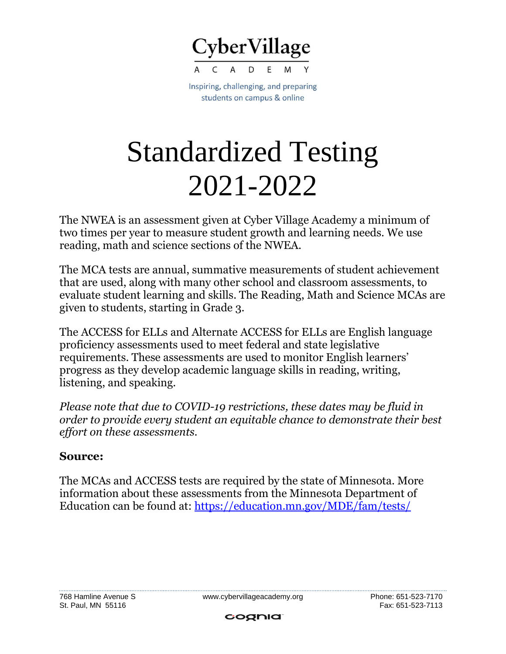

Inspiring, challenging, and preparing students on campus & online

## Standardized Testing 2021-2022

The NWEA is an assessment given at Cyber Village Academy a minimum of two times per year to measure student growth and learning needs. We use reading, math and science sections of the NWEA.

The MCA tests are annual, summative measurements of student achievement that are used, along with many other school and classroom assessments, to evaluate student learning and skills. The Reading, Math and Science MCAs are given to students, starting in Grade 3.

The ACCESS for ELLs and Alternate ACCESS for ELLs are English language proficiency assessments used to meet federal and state legislative requirements. These assessments are used to monitor English learners' progress as they develop academic language skills in reading, writing, listening, and speaking.

*Please note that due to COVID-19 restrictions, these dates may be fluid in order to provide every student an equitable chance to demonstrate their best effort on these assessments.*

## **Source:**

The MCAs and ACCESS tests are required by the state of Minnesota. More information about these assessments from the Minnesota Department of Education can be found at: <https://education.mn.gov/MDE/fam/tests/>